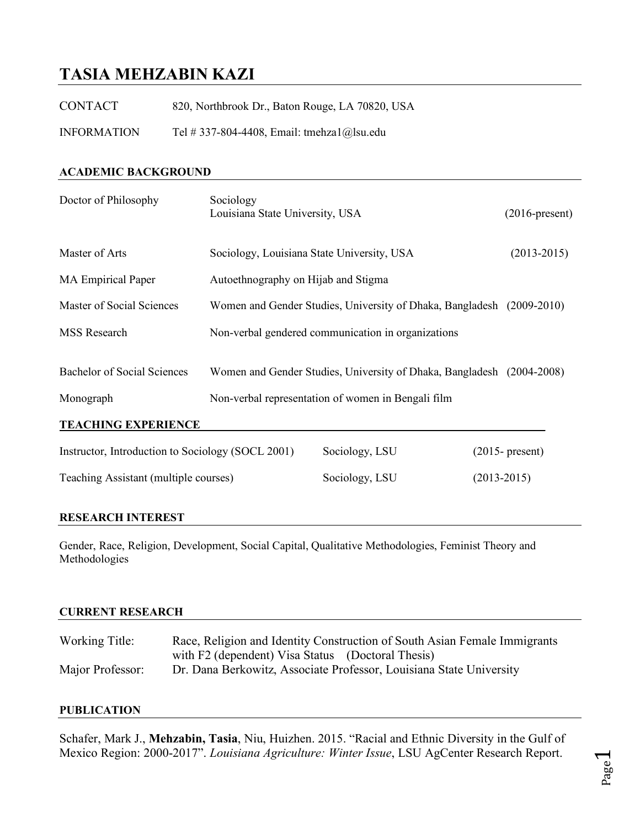# **TASIA MEHZABIN KAZI**

| <b>CONTACT</b>     | 820, Northbrook Dr., Baton Rouge, LA 70820, USA |
|--------------------|-------------------------------------------------|
| <b>INFORMATION</b> | Tel # 337-804-4408, Email: tmehza $1$ @lsu.edu  |

# **ACADEMIC BACKGROUND**

| Doctor of Philosophy                              | Sociology<br>Louisiana State University, USA |                                                                                                                             | $(2016$ -present)  |  |  |
|---------------------------------------------------|----------------------------------------------|-----------------------------------------------------------------------------------------------------------------------------|--------------------|--|--|
| Master of Arts                                    | Sociology, Louisiana State University, USA   |                                                                                                                             | $(2013 - 2015)$    |  |  |
| <b>MA Empirical Paper</b>                         | Autoethnography on Hijab and Stigma          |                                                                                                                             |                    |  |  |
| Master of Social Sciences                         |                                              | Women and Gender Studies, University of Dhaka, Bangladesh (2009-2010)                                                       |                    |  |  |
| MSS Research                                      |                                              | Non-verbal gendered communication in organizations                                                                          |                    |  |  |
| <b>Bachelor of Social Sciences</b><br>Monograph   |                                              | Women and Gender Studies, University of Dhaka, Bangladesh (2004-2008)<br>Non-verbal representation of women in Bengali film |                    |  |  |
| <b>TEACHING EXPERIENCE</b>                        |                                              |                                                                                                                             |                    |  |  |
| Instructor, Introduction to Sociology (SOCL 2001) |                                              | Sociology, LSU                                                                                                              | $(2015 - present)$ |  |  |
| Teaching Assistant (multiple courses)             |                                              | Sociology, LSU                                                                                                              | $(2013 - 2015)$    |  |  |
|                                                   |                                              |                                                                                                                             |                    |  |  |

# **RESEARCH INTEREST**

Gender, Race, Religion, Development, Social Capital, Qualitative Methodologies, Feminist Theory and Methodologies

#### **CURRENT RESEARCH**

| Working Title:   | Race, Religion and Identity Construction of South Asian Female Immigrants |  |  |
|------------------|---------------------------------------------------------------------------|--|--|
|                  | with F2 (dependent) Visa Status (Doctoral Thesis)                         |  |  |
| Major Professor: | Dr. Dana Berkowitz, Associate Professor, Louisiana State University       |  |  |

## **PUBLICATION**

Schafer, Mark J., **Mehzabin, Tasia**, Niu, Huizhen. 2015. "Racial and Ethnic Diversity in the Gulf of Mexico Region: 2000-2017". *Louisiana Agriculture: Winter Issue*, LSU AgCenter Research Report.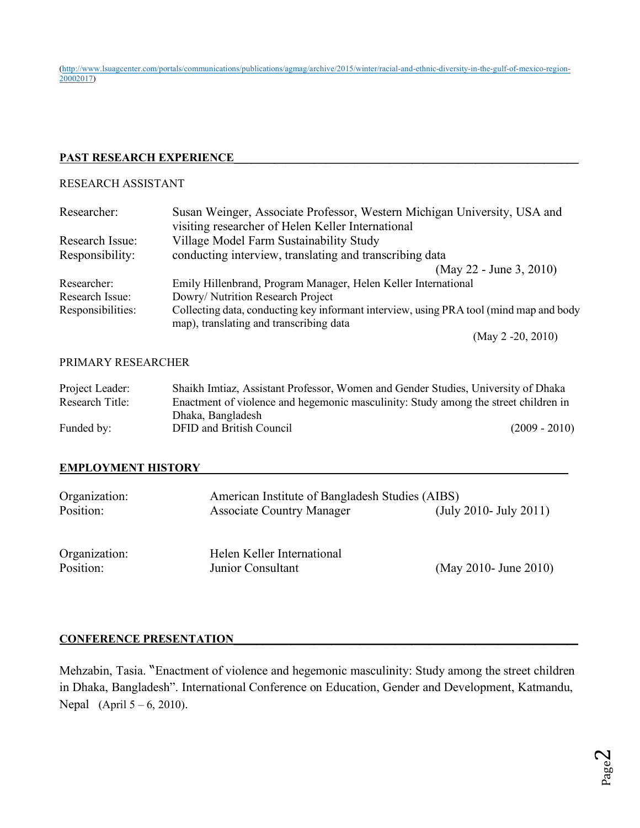(http://www.lsuagcenter.com/portals/communications/publications/agmag/archive/2015/winter/racial-and-ethnic-diversity-in-the-gulf-of-mexico-region-20002017)

# **PAST RESEARCH EXPERIENCE**

# RESEARCH ASSISTANT

| Researcher:       | Susan Weinger, Associate Professor, Western Michigan University, USA and               |  |
|-------------------|----------------------------------------------------------------------------------------|--|
|                   | visiting researcher of Helen Keller International                                      |  |
| Research Issue:   | Village Model Farm Sustainability Study                                                |  |
| Responsibility:   | conducting interview, translating and transcribing data                                |  |
|                   | (May 22 - June 3, 2010)                                                                |  |
| Researcher:       | Emily Hillenbrand, Program Manager, Helen Keller International                         |  |
| Research Issue:   | Dowry/ Nutrition Research Project                                                      |  |
| Responsibilities: | Collecting data, conducting key informant interview, using PRA tool (mind map and body |  |
|                   | map), translating and transcribing data                                                |  |
|                   | (May $2 - 20$ , 2010)                                                                  |  |

#### PRIMARY RESEARCHER

| Project Leader: | Shaikh Imitaz, Assistant Professor, Women and Gender Studies, University of Dhaka   |                 |
|-----------------|-------------------------------------------------------------------------------------|-----------------|
| Research Title: | Enactment of violence and hegemonic masculinity: Study among the street children in |                 |
|                 | Dhaka, Bangladesh                                                                   |                 |
| Funded by:      | DFID and British Council                                                            | $(2009 - 2010)$ |

## **EMPLOYMENT HISTORY\_\_\_\_\_\_\_\_\_\_\_\_\_\_\_\_\_\_\_\_\_\_\_\_\_\_\_\_\_\_\_\_\_\_\_\_\_\_\_\_\_\_\_\_\_\_\_\_\_\_\_\_\_\_\_\_\_\_\_\_\_\_\_\_**

| Organization: | American Institute of Bangladesh Studies (AIBS) |                           |  |
|---------------|-------------------------------------------------|---------------------------|--|
| Position:     | <b>Associate Country Manager</b>                | $(July 2010 - July 2011)$ |  |
| Organization: | Helen Keller International                      |                           |  |
| Position:     | Junior Consultant                               | (May 2010- June 2010)     |  |

## CONFERENCE PRESENTATION

Mehzabin, Tasia. "Enactment of violence and hegemonic masculinity: Study among the street children in Dhaka, Bangladesh". International Conference on Education, Gender and Development, Katmandu, Nepal (April 5 – 6, 2010).